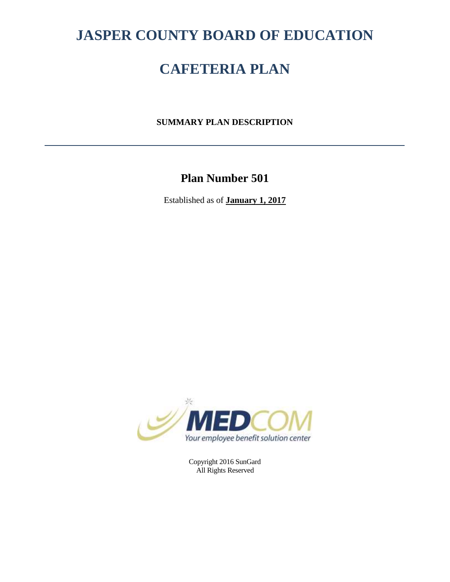# **JASPER COUNTY BOARD OF EDUCATION**

# **CAFETERIA PLAN**

**SUMMARY PLAN DESCRIPTION**

# **Plan Number 501**

Established as of **January 1, 2017**



Copyright 2016 SunGard All Rights Reserved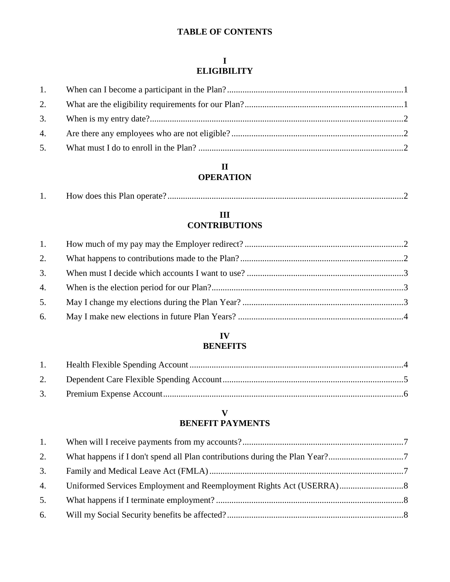# **TABLE OF CONTENTS**

# **I ELIGIBILITY**

# **II OPERATION**

|--|--|--|

# **III CONTRIBUTIONS**

# **IV BENEFITS**

# **V BENEFIT PAYMENTS**

| 1. |  |
|----|--|
| 2. |  |
| 3. |  |
| 4. |  |
| 5. |  |
|    |  |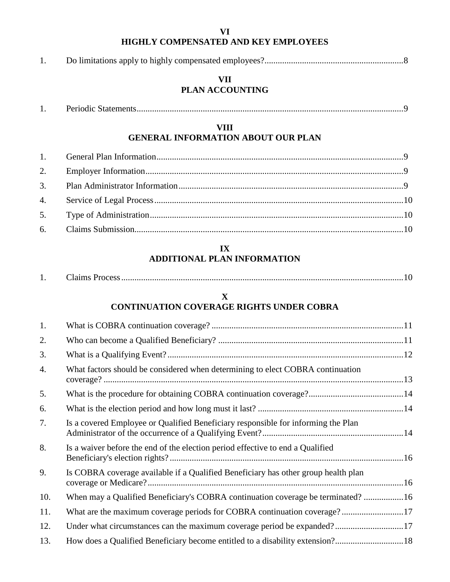# **VI HIGHLY COMPENSATED AND KEY EMPLOYEES**

# **VII PLAN ACCOUNTING**

# **VIII GENERAL INFORMATION ABOUT OUR PLAN**

# **IX ADDITIONAL PLAN INFORMATION**

| ланнія т<br>., |  |
|----------------|--|
|----------------|--|

# **X CONTINUATION COVERAGE RIGHTS UNDER COBRA**

| 1.  |                                                                                    |  |
|-----|------------------------------------------------------------------------------------|--|
| 2.  |                                                                                    |  |
| 3.  |                                                                                    |  |
| 4.  | What factors should be considered when determining to elect COBRA continuation     |  |
| 5.  |                                                                                    |  |
| 6.  |                                                                                    |  |
| 7.  | Is a covered Employee or Qualified Beneficiary responsible for informing the Plan  |  |
| 8.  | Is a waiver before the end of the election period effective to end a Qualified     |  |
| 9.  | Is COBRA coverage available if a Qualified Beneficiary has other group health plan |  |
| 10. | When may a Qualified Beneficiary's COBRA continuation coverage be terminated? 16   |  |
| 11. | What are the maximum coverage periods for COBRA continuation coverage?17           |  |
| 12. | Under what circumstances can the maximum coverage period be expanded?17            |  |
| 13. | How does a Qualified Beneficiary become entitled to a disability extension?18      |  |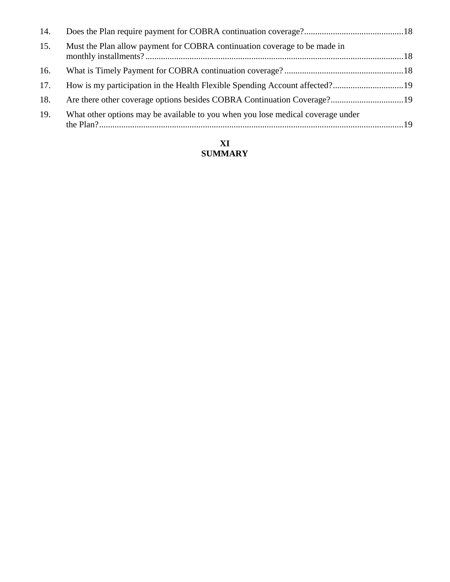| 14. |                                                                                 |  |
|-----|---------------------------------------------------------------------------------|--|
| 15. | Must the Plan allow payment for COBRA continuation coverage to be made in       |  |
| 16. |                                                                                 |  |
| 17. |                                                                                 |  |
| 18. |                                                                                 |  |
| 19. | What other options may be available to you when you lose medical coverage under |  |

# **XI SUMMARY**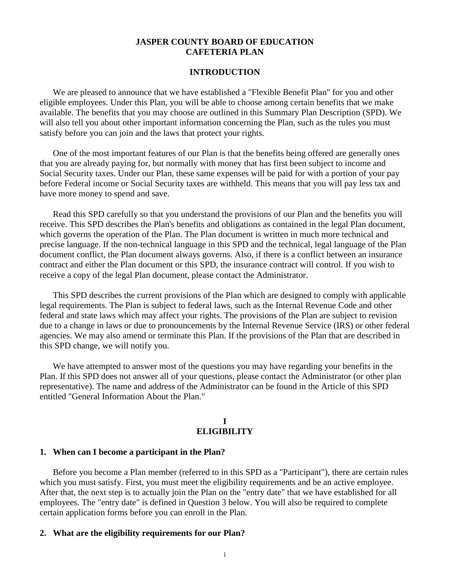## **JASPER COUNTY BOARD OF EDUCATION CAFETERIA PLAN**

#### **INTRODUCTION**

We are pleased to announce that we have established a "Flexible Benefit Plan" for you and other eligible employees. Under this Plan, you will be able to choose among certain benefits that we make available. The benefits that you may choose are outlined in this Summary Plan Description (SPD). We will also tell you about other important information concerning the Plan, such as the rules you must satisfy before you can join and the laws that protect your rights.

One of the most important features of our Plan is that the benefits being offered are generally ones that you are already paying for, but normally with money that has first been subject to income and Social Security taxes. Under our Plan, these same expenses will be paid for with a portion of your pay before Federal income or Social Security taxes are withheld. This means that you will pay less tax and have more money to spend and save.

Read this SPD carefully so that you understand the provisions of our Plan and the benefits you will receive. This SPD describes the Plan's benefits and obligations as contained in the legal Plan document, which governs the operation of the Plan. The Plan document is written in much more technical and precise language. If the non-technical language in this SPD and the technical, legal language of the Plan document conflict, the Plan document always governs. Also, if there is a conflict between an insurance contract and either the Plan document or this SPD, the insurance contract will control. If you wish to receive a copy of the legal Plan document, please contact the Administrator.

This SPD describes the current provisions of the Plan which are designed to comply with applicable legal requirements. The Plan is subject to federal laws, such as the Internal Revenue Code and other federal and state laws which may affect your rights. The provisions of the Plan are subject to revision due to a change in laws or due to pronouncements by the Internal Revenue Service (IRS) or other federal agencies. We may also amend or terminate this Plan. If the provisions of the Plan that are described in this SPD change, we will notify you.

We have attempted to answer most of the questions you may have regarding your benefits in the Plan. If this SPD does not answer all of your questions, please contact the Administrator (or other plan representative). The name and address of the Administrator can be found in the Article of this SPD entitled "General Information About the Plan."

#### **I ELIGIBILITY**

#### **1. When can I become a participant in the Plan?**

Before you become a Plan member (referred to in this SPD as a "Participant"), there are certain rules which you must satisfy. First, you must meet the eligibility requirements and be an active employee. After that, the next step is to actually join the Plan on the "entry date" that we have established for all employees. The "entry date" is defined in Question 3 below. You will also be required to complete certain application forms before you can enroll in the Plan.

#### **2. What are the eligibility requirements for our Plan?**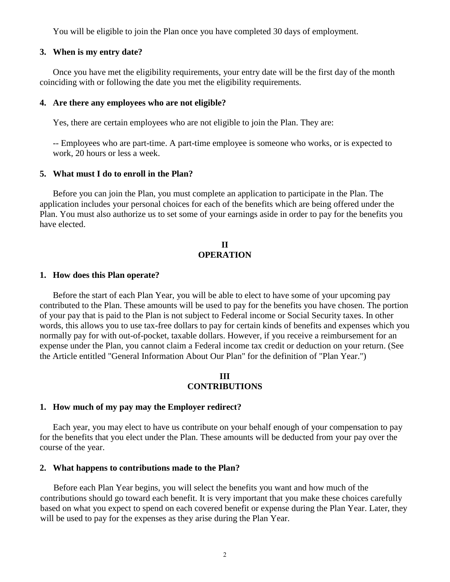You will be eligible to join the Plan once you have completed 30 days of employment.

#### **3. When is my entry date?**

Once you have met the eligibility requirements, your entry date will be the first day of the month coinciding with or following the date you met the eligibility requirements.

#### **4. Are there any employees who are not eligible?**

Yes, there are certain employees who are not eligible to join the Plan. They are:

-- Employees who are part-time. A part-time employee is someone who works, or is expected to work, 20 hours or less a week.

#### **5. What must I do to enroll in the Plan?**

Before you can join the Plan, you must complete an application to participate in the Plan. The application includes your personal choices for each of the benefits which are being offered under the Plan. You must also authorize us to set some of your earnings aside in order to pay for the benefits you have elected.

# **II OPERATION**

#### **1. How does this Plan operate?**

Before the start of each Plan Year, you will be able to elect to have some of your upcoming pay contributed to the Plan. These amounts will be used to pay for the benefits you have chosen. The portion of your pay that is paid to the Plan is not subject to Federal income or Social Security taxes. In other words, this allows you to use tax-free dollars to pay for certain kinds of benefits and expenses which you normally pay for with out-of-pocket, taxable dollars. However, if you receive a reimbursement for an expense under the Plan, you cannot claim a Federal income tax credit or deduction on your return. (See the Article entitled "General Information About Our Plan" for the definition of "Plan Year.")

#### **III CONTRIBUTIONS**

#### **1. How much of my pay may the Employer redirect?**

Each year, you may elect to have us contribute on your behalf enough of your compensation to pay for the benefits that you elect under the Plan. These amounts will be deducted from your pay over the course of the year.

#### **2. What happens to contributions made to the Plan?**

Before each Plan Year begins, you will select the benefits you want and how much of the contributions should go toward each benefit. It is very important that you make these choices carefully based on what you expect to spend on each covered benefit or expense during the Plan Year. Later, they will be used to pay for the expenses as they arise during the Plan Year.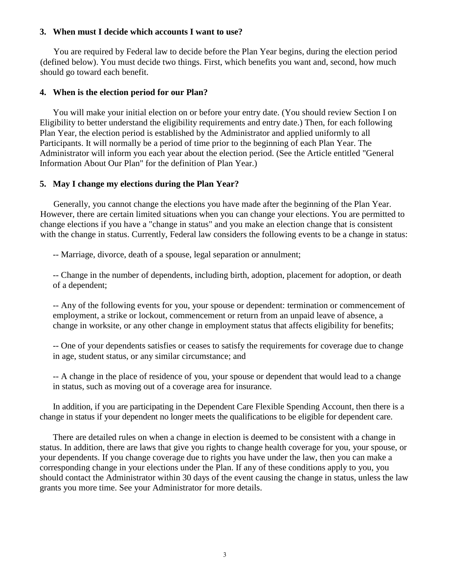### **3. When must I decide which accounts I want to use?**

You are required by Federal law to decide before the Plan Year begins, during the election period (defined below). You must decide two things. First, which benefits you want and, second, how much should go toward each benefit.

#### **4. When is the election period for our Plan?**

You will make your initial election on or before your entry date. (You should review Section I on Eligibility to better understand the eligibility requirements and entry date.) Then, for each following Plan Year, the election period is established by the Administrator and applied uniformly to all Participants. It will normally be a period of time prior to the beginning of each Plan Year. The Administrator will inform you each year about the election period. (See the Article entitled "General Information About Our Plan" for the definition of Plan Year.)

#### **5. May I change my elections during the Plan Year?**

Generally, you cannot change the elections you have made after the beginning of the Plan Year. However, there are certain limited situations when you can change your elections. You are permitted to change elections if you have a "change in status" and you make an election change that is consistent with the change in status. Currently, Federal law considers the following events to be a change in status:

-- Marriage, divorce, death of a spouse, legal separation or annulment;

-- Change in the number of dependents, including birth, adoption, placement for adoption, or death of a dependent;

-- Any of the following events for you, your spouse or dependent: termination or commencement of employment, a strike or lockout, commencement or return from an unpaid leave of absence, a change in worksite, or any other change in employment status that affects eligibility for benefits;

-- One of your dependents satisfies or ceases to satisfy the requirements for coverage due to change in age, student status, or any similar circumstance; and

-- A change in the place of residence of you, your spouse or dependent that would lead to a change in status, such as moving out of a coverage area for insurance.

In addition, if you are participating in the Dependent Care Flexible Spending Account, then there is a change in status if your dependent no longer meets the qualifications to be eligible for dependent care.

There are detailed rules on when a change in election is deemed to be consistent with a change in status. In addition, there are laws that give you rights to change health coverage for you, your spouse, or your dependents. If you change coverage due to rights you have under the law, then you can make a corresponding change in your elections under the Plan. If any of these conditions apply to you, you should contact the Administrator within 30 days of the event causing the change in status, unless the law grants you more time. See your Administrator for more details.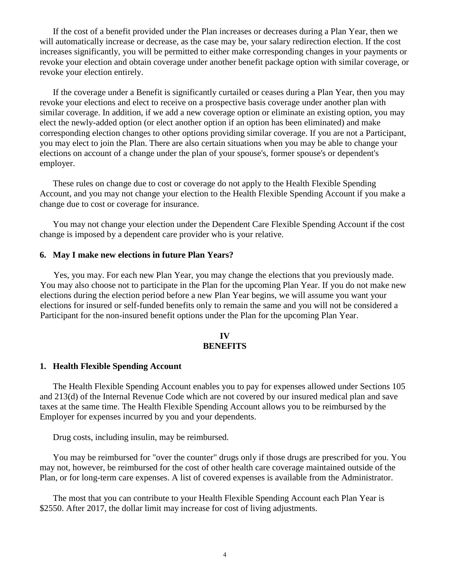If the cost of a benefit provided under the Plan increases or decreases during a Plan Year, then we will automatically increase or decrease, as the case may be, your salary redirection election. If the cost increases significantly, you will be permitted to either make corresponding changes in your payments or revoke your election and obtain coverage under another benefit package option with similar coverage, or revoke your election entirely.

If the coverage under a Benefit is significantly curtailed or ceases during a Plan Year, then you may revoke your elections and elect to receive on a prospective basis coverage under another plan with similar coverage. In addition, if we add a new coverage option or eliminate an existing option, you may elect the newly-added option (or elect another option if an option has been eliminated) and make corresponding election changes to other options providing similar coverage. If you are not a Participant, you may elect to join the Plan. There are also certain situations when you may be able to change your elections on account of a change under the plan of your spouse's, former spouse's or dependent's employer.

These rules on change due to cost or coverage do not apply to the Health Flexible Spending Account, and you may not change your election to the Health Flexible Spending Account if you make a change due to cost or coverage for insurance.

You may not change your election under the Dependent Care Flexible Spending Account if the cost change is imposed by a dependent care provider who is your relative.

#### **6. May I make new elections in future Plan Years?**

Yes, you may. For each new Plan Year, you may change the elections that you previously made. You may also choose not to participate in the Plan for the upcoming Plan Year. If you do not make new elections during the election period before a new Plan Year begins, we will assume you want your elections for insured or self-funded benefits only to remain the same and you will not be considered a Participant for the non-insured benefit options under the Plan for the upcoming Plan Year.

#### **IV BENEFITS**

#### **1. Health Flexible Spending Account**

The Health Flexible Spending Account enables you to pay for expenses allowed under Sections 105 and 213(d) of the Internal Revenue Code which are not covered by our insured medical plan and save taxes at the same time. The Health Flexible Spending Account allows you to be reimbursed by the Employer for expenses incurred by you and your dependents.

Drug costs, including insulin, may be reimbursed.

You may be reimbursed for "over the counter" drugs only if those drugs are prescribed for you. You may not, however, be reimbursed for the cost of other health care coverage maintained outside of the Plan, or for long-term care expenses. A list of covered expenses is available from the Administrator.

The most that you can contribute to your Health Flexible Spending Account each Plan Year is \$2550. After 2017, the dollar limit may increase for cost of living adjustments.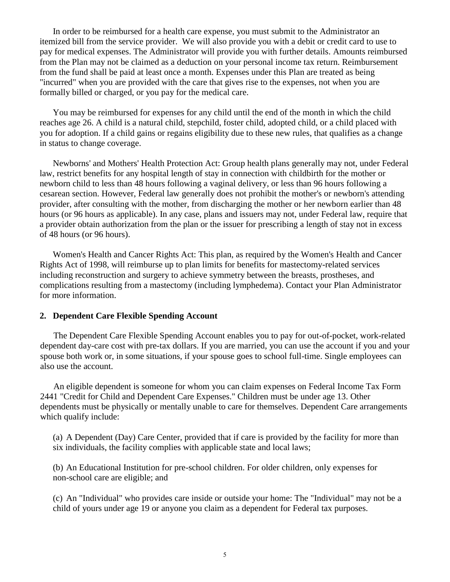In order to be reimbursed for a health care expense, you must submit to the Administrator an itemized bill from the service provider. We will also provide you with a debit or credit card to use to pay for medical expenses. The Administrator will provide you with further details. Amounts reimbursed from the Plan may not be claimed as a deduction on your personal income tax return. Reimbursement from the fund shall be paid at least once a month. Expenses under this Plan are treated as being "incurred" when you are provided with the care that gives rise to the expenses, not when you are formally billed or charged, or you pay for the medical care.

You may be reimbursed for expenses for any child until the end of the month in which the child reaches age 26. A child is a natural child, stepchild, foster child, adopted child, or a child placed with you for adoption. If a child gains or regains eligibility due to these new rules, that qualifies as a change in status to change coverage.

Newborns' and Mothers' Health Protection Act: Group health plans generally may not, under Federal law, restrict benefits for any hospital length of stay in connection with childbirth for the mother or newborn child to less than 48 hours following a vaginal delivery, or less than 96 hours following a cesarean section. However, Federal law generally does not prohibit the mother's or newborn's attending provider, after consulting with the mother, from discharging the mother or her newborn earlier than 48 hours (or 96 hours as applicable). In any case, plans and issuers may not, under Federal law, require that a provider obtain authorization from the plan or the issuer for prescribing a length of stay not in excess of 48 hours (or 96 hours).

Women's Health and Cancer Rights Act: This plan, as required by the Women's Health and Cancer Rights Act of 1998, will reimburse up to plan limits for benefits for mastectomy-related services including reconstruction and surgery to achieve symmetry between the breasts, prostheses, and complications resulting from a mastectomy (including lymphedema). Contact your Plan Administrator for more information.

#### **2. Dependent Care Flexible Spending Account**

The Dependent Care Flexible Spending Account enables you to pay for out-of-pocket, work-related dependent day-care cost with pre-tax dollars. If you are married, you can use the account if you and your spouse both work or, in some situations, if your spouse goes to school full-time. Single employees can also use the account.

An eligible dependent is someone for whom you can claim expenses on Federal Income Tax Form 2441 "Credit for Child and Dependent Care Expenses." Children must be under age 13. Other dependents must be physically or mentally unable to care for themselves. Dependent Care arrangements which qualify include:

(a) A Dependent (Day) Care Center, provided that if care is provided by the facility for more than six individuals, the facility complies with applicable state and local laws;

(b) An Educational Institution for pre-school children. For older children, only expenses for non-school care are eligible; and

(c) An "Individual" who provides care inside or outside your home: The "Individual" may not be a child of yours under age 19 or anyone you claim as a dependent for Federal tax purposes.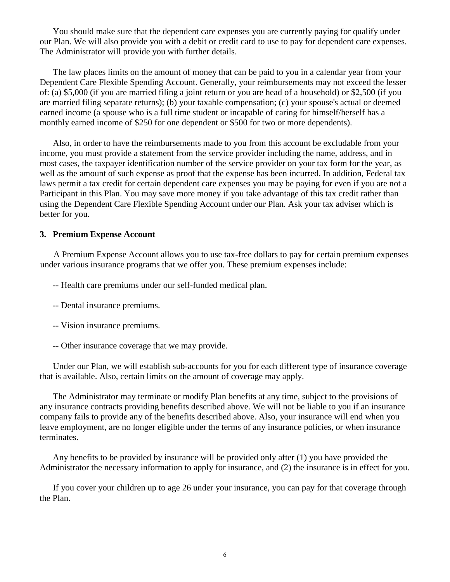You should make sure that the dependent care expenses you are currently paying for qualify under our Plan. We will also provide you with a debit or credit card to use to pay for dependent care expenses. The Administrator will provide you with further details.

The law places limits on the amount of money that can be paid to you in a calendar year from your Dependent Care Flexible Spending Account. Generally, your reimbursements may not exceed the lesser of: (a) \$5,000 (if you are married filing a joint return or you are head of a household) or \$2,500 (if you are married filing separate returns); (b) your taxable compensation; (c) your spouse's actual or deemed earned income (a spouse who is a full time student or incapable of caring for himself/herself has a monthly earned income of \$250 for one dependent or \$500 for two or more dependents).

Also, in order to have the reimbursements made to you from this account be excludable from your income, you must provide a statement from the service provider including the name, address, and in most cases, the taxpayer identification number of the service provider on your tax form for the year, as well as the amount of such expense as proof that the expense has been incurred. In addition, Federal tax laws permit a tax credit for certain dependent care expenses you may be paying for even if you are not a Participant in this Plan. You may save more money if you take advantage of this tax credit rather than using the Dependent Care Flexible Spending Account under our Plan. Ask your tax adviser which is better for you.

#### **3. Premium Expense Account**

A Premium Expense Account allows you to use tax-free dollars to pay for certain premium expenses under various insurance programs that we offer you. These premium expenses include:

- -- Health care premiums under our self-funded medical plan.
- -- Dental insurance premiums.
- -- Vision insurance premiums.
- -- Other insurance coverage that we may provide.

Under our Plan, we will establish sub-accounts for you for each different type of insurance coverage that is available. Also, certain limits on the amount of coverage may apply.

The Administrator may terminate or modify Plan benefits at any time, subject to the provisions of any insurance contracts providing benefits described above. We will not be liable to you if an insurance company fails to provide any of the benefits described above. Also, your insurance will end when you leave employment, are no longer eligible under the terms of any insurance policies, or when insurance terminates.

Any benefits to be provided by insurance will be provided only after (1) you have provided the Administrator the necessary information to apply for insurance, and (2) the insurance is in effect for you.

If you cover your children up to age 26 under your insurance, you can pay for that coverage through the Plan.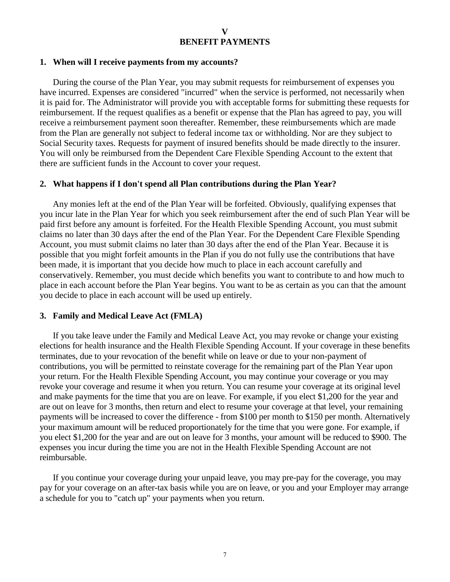#### **1. When will I receive payments from my accounts?**

During the course of the Plan Year, you may submit requests for reimbursement of expenses you have incurred. Expenses are considered "incurred" when the service is performed, not necessarily when it is paid for. The Administrator will provide you with acceptable forms for submitting these requests for reimbursement. If the request qualifies as a benefit or expense that the Plan has agreed to pay, you will receive a reimbursement payment soon thereafter. Remember, these reimbursements which are made from the Plan are generally not subject to federal income tax or withholding. Nor are they subject to Social Security taxes. Requests for payment of insured benefits should be made directly to the insurer. You will only be reimbursed from the Dependent Care Flexible Spending Account to the extent that there are sufficient funds in the Account to cover your request.

#### **2. What happens if I don't spend all Plan contributions during the Plan Year?**

Any monies left at the end of the Plan Year will be forfeited. Obviously, qualifying expenses that you incur late in the Plan Year for which you seek reimbursement after the end of such Plan Year will be paid first before any amount is forfeited. For the Health Flexible Spending Account, you must submit claims no later than 30 days after the end of the Plan Year. For the Dependent Care Flexible Spending Account, you must submit claims no later than 30 days after the end of the Plan Year. Because it is possible that you might forfeit amounts in the Plan if you do not fully use the contributions that have been made, it is important that you decide how much to place in each account carefully and conservatively. Remember, you must decide which benefits you want to contribute to and how much to place in each account before the Plan Year begins. You want to be as certain as you can that the amount you decide to place in each account will be used up entirely.

#### **3. Family and Medical Leave Act (FMLA)**

If you take leave under the Family and Medical Leave Act, you may revoke or change your existing elections for health insurance and the Health Flexible Spending Account. If your coverage in these benefits terminates, due to your revocation of the benefit while on leave or due to your non-payment of contributions, you will be permitted to reinstate coverage for the remaining part of the Plan Year upon your return. For the Health Flexible Spending Account, you may continue your coverage or you may revoke your coverage and resume it when you return. You can resume your coverage at its original level and make payments for the time that you are on leave. For example, if you elect \$1,200 for the year and are out on leave for 3 months, then return and elect to resume your coverage at that level, your remaining payments will be increased to cover the difference - from \$100 per month to \$150 per month. Alternatively your maximum amount will be reduced proportionately for the time that you were gone. For example, if you elect \$1,200 for the year and are out on leave for 3 months, your amount will be reduced to \$900. The expenses you incur during the time you are not in the Health Flexible Spending Account are not reimbursable.

If you continue your coverage during your unpaid leave, you may pre-pay for the coverage, you may pay for your coverage on an after-tax basis while you are on leave, or you and your Employer may arrange a schedule for you to "catch up" your payments when you return.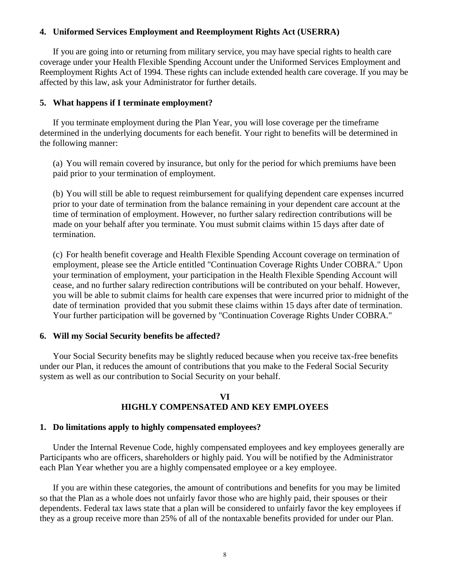#### **4. Uniformed Services Employment and Reemployment Rights Act (USERRA)**

If you are going into or returning from military service, you may have special rights to health care coverage under your Health Flexible Spending Account under the Uniformed Services Employment and Reemployment Rights Act of 1994. These rights can include extended health care coverage. If you may be affected by this law, ask your Administrator for further details.

#### **5. What happens if I terminate employment?**

If you terminate employment during the Plan Year, you will lose coverage per the timeframe determined in the underlying documents for each benefit. Your right to benefits will be determined in the following manner:

(a) You will remain covered by insurance, but only for the period for which premiums have been paid prior to your termination of employment.

(b) You will still be able to request reimbursement for qualifying dependent care expenses incurred prior to your date of termination from the balance remaining in your dependent care account at the time of termination of employment. However, no further salary redirection contributions will be made on your behalf after you terminate. You must submit claims within 15 days after date of termination.

(c) For health benefit coverage and Health Flexible Spending Account coverage on termination of employment, please see the Article entitled "Continuation Coverage Rights Under COBRA." Upon your termination of employment, your participation in the Health Flexible Spending Account will cease, and no further salary redirection contributions will be contributed on your behalf. However, you will be able to submit claims for health care expenses that were incurred prior to midnight of the date of termination provided that you submit these claims within 15 days after date of termination. Your further participation will be governed by "Continuation Coverage Rights Under COBRA."

#### **6. Will my Social Security benefits be affected?**

Your Social Security benefits may be slightly reduced because when you receive tax-free benefits under our Plan, it reduces the amount of contributions that you make to the Federal Social Security system as well as our contribution to Social Security on your behalf.

# **VI HIGHLY COMPENSATED AND KEY EMPLOYEES**

#### **1. Do limitations apply to highly compensated employees?**

Under the Internal Revenue Code, highly compensated employees and key employees generally are Participants who are officers, shareholders or highly paid. You will be notified by the Administrator each Plan Year whether you are a highly compensated employee or a key employee.

If you are within these categories, the amount of contributions and benefits for you may be limited so that the Plan as a whole does not unfairly favor those who are highly paid, their spouses or their dependents. Federal tax laws state that a plan will be considered to unfairly favor the key employees if they as a group receive more than 25% of all of the nontaxable benefits provided for under our Plan.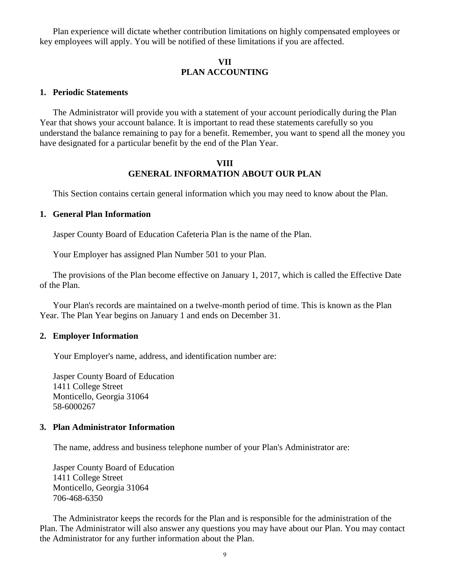Plan experience will dictate whether contribution limitations on highly compensated employees or key employees will apply. You will be notified of these limitations if you are affected.

# **VII PLAN ACCOUNTING**

#### **1. Periodic Statements**

The Administrator will provide you with a statement of your account periodically during the Plan Year that shows your account balance. It is important to read these statements carefully so you understand the balance remaining to pay for a benefit. Remember, you want to spend all the money you have designated for a particular benefit by the end of the Plan Year.

#### **VIII GENERAL INFORMATION ABOUT OUR PLAN**

This Section contains certain general information which you may need to know about the Plan.

#### **1. General Plan Information**

Jasper County Board of Education Cafeteria Plan is the name of the Plan.

Your Employer has assigned Plan Number 501 to your Plan.

The provisions of the Plan become effective on January 1, 2017, which is called the Effective Date of the Plan.

Your Plan's records are maintained on a twelve-month period of time. This is known as the Plan Year. The Plan Year begins on January 1 and ends on December 31.

#### **2. Employer Information**

Your Employer's name, address, and identification number are:

Jasper County Board of Education 1411 College Street Monticello, Georgia 31064 58-6000267

#### **3. Plan Administrator Information**

The name, address and business telephone number of your Plan's Administrator are:

Jasper County Board of Education 1411 College Street Monticello, Georgia 31064 706-468-6350

The Administrator keeps the records for the Plan and is responsible for the administration of the Plan. The Administrator will also answer any questions you may have about our Plan. You may contact the Administrator for any further information about the Plan.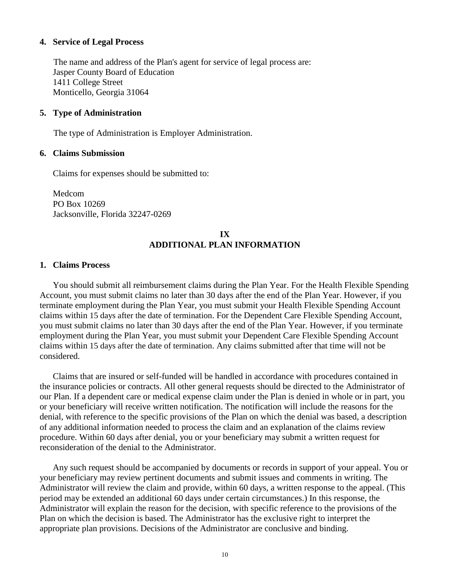#### **4. Service of Legal Process**

The name and address of the Plan's agent for service of legal process are: Jasper County Board of Education 1411 College Street Monticello, Georgia 31064

#### **5. Type of Administration**

The type of Administration is Employer Administration.

#### **6. Claims Submission**

Claims for expenses should be submitted to:

Medcom PO Box 10269 Jacksonville, Florida 32247-0269

# **IX ADDITIONAL PLAN INFORMATION**

#### **1. Claims Process**

You should submit all reimbursement claims during the Plan Year. For the Health Flexible Spending Account, you must submit claims no later than 30 days after the end of the Plan Year. However, if you terminate employment during the Plan Year, you must submit your Health Flexible Spending Account claims within 15 days after the date of termination. For the Dependent Care Flexible Spending Account, you must submit claims no later than 30 days after the end of the Plan Year. However, if you terminate employment during the Plan Year, you must submit your Dependent Care Flexible Spending Account claims within 15 days after the date of termination. Any claims submitted after that time will not be considered.

Claims that are insured or self-funded will be handled in accordance with procedures contained in the insurance policies or contracts. All other general requests should be directed to the Administrator of our Plan. If a dependent care or medical expense claim under the Plan is denied in whole or in part, you or your beneficiary will receive written notification. The notification will include the reasons for the denial, with reference to the specific provisions of the Plan on which the denial was based, a description of any additional information needed to process the claim and an explanation of the claims review procedure. Within 60 days after denial, you or your beneficiary may submit a written request for reconsideration of the denial to the Administrator.

Any such request should be accompanied by documents or records in support of your appeal. You or your beneficiary may review pertinent documents and submit issues and comments in writing. The Administrator will review the claim and provide, within 60 days, a written response to the appeal. (This period may be extended an additional 60 days under certain circumstances.) In this response, the Administrator will explain the reason for the decision, with specific reference to the provisions of the Plan on which the decision is based. The Administrator has the exclusive right to interpret the appropriate plan provisions. Decisions of the Administrator are conclusive and binding.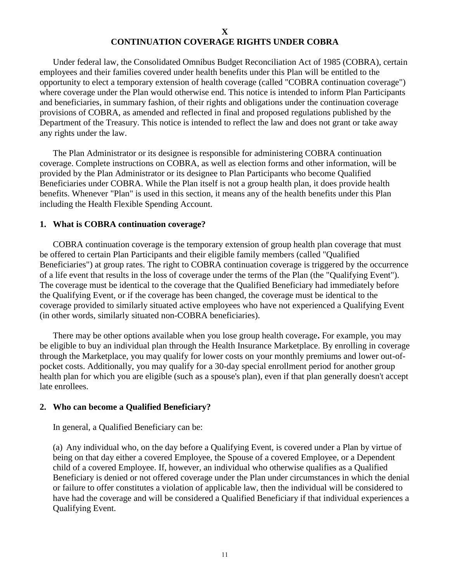## **X CONTINUATION COVERAGE RIGHTS UNDER COBRA**

Under federal law, the Consolidated Omnibus Budget Reconciliation Act of 1985 (COBRA), certain employees and their families covered under health benefits under this Plan will be entitled to the opportunity to elect a temporary extension of health coverage (called "COBRA continuation coverage") where coverage under the Plan would otherwise end. This notice is intended to inform Plan Participants and beneficiaries, in summary fashion, of their rights and obligations under the continuation coverage provisions of COBRA, as amended and reflected in final and proposed regulations published by the Department of the Treasury. This notice is intended to reflect the law and does not grant or take away any rights under the law.

The Plan Administrator or its designee is responsible for administering COBRA continuation coverage. Complete instructions on COBRA, as well as election forms and other information, will be provided by the Plan Administrator or its designee to Plan Participants who become Qualified Beneficiaries under COBRA. While the Plan itself is not a group health plan, it does provide health benefits. Whenever "Plan" is used in this section, it means any of the health benefits under this Plan including the Health Flexible Spending Account.

#### **1. What is COBRA continuation coverage?**

COBRA continuation coverage is the temporary extension of group health plan coverage that must be offered to certain Plan Participants and their eligible family members (called "Qualified Beneficiaries") at group rates. The right to COBRA continuation coverage is triggered by the occurrence of a life event that results in the loss of coverage under the terms of the Plan (the "Qualifying Event"). The coverage must be identical to the coverage that the Qualified Beneficiary had immediately before the Qualifying Event, or if the coverage has been changed, the coverage must be identical to the coverage provided to similarly situated active employees who have not experienced a Qualifying Event (in other words, similarly situated non-COBRA beneficiaries).

There may be other options available when you lose group health coverage**.** For example, you may be eligible to buy an individual plan through the Health Insurance Marketplace. By enrolling in coverage through the Marketplace, you may qualify for lower costs on your monthly premiums and lower out-ofpocket costs. Additionally, you may qualify for a 30-day special enrollment period for another group health plan for which you are eligible (such as a spouse's plan), even if that plan generally doesn't accept late enrollees.

#### **2. Who can become a Qualified Beneficiary?**

In general, a Qualified Beneficiary can be:

(a) Any individual who, on the day before a Qualifying Event, is covered under a Plan by virtue of being on that day either a covered Employee, the Spouse of a covered Employee, or a Dependent child of a covered Employee. If, however, an individual who otherwise qualifies as a Qualified Beneficiary is denied or not offered coverage under the Plan under circumstances in which the denial or failure to offer constitutes a violation of applicable law, then the individual will be considered to have had the coverage and will be considered a Qualified Beneficiary if that individual experiences a Qualifying Event.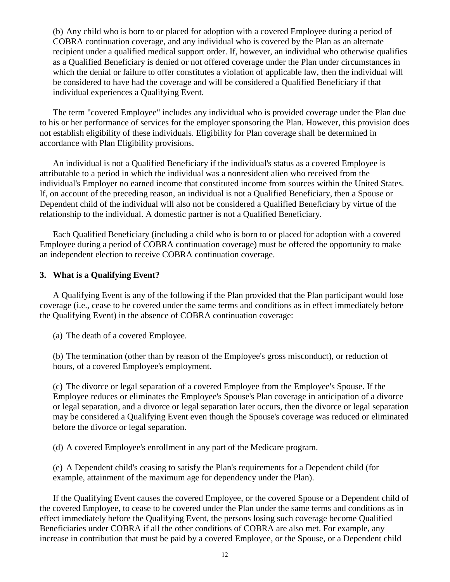(b) Any child who is born to or placed for adoption with a covered Employee during a period of COBRA continuation coverage, and any individual who is covered by the Plan as an alternate recipient under a qualified medical support order. If, however, an individual who otherwise qualifies as a Qualified Beneficiary is denied or not offered coverage under the Plan under circumstances in which the denial or failure to offer constitutes a violation of applicable law, then the individual will be considered to have had the coverage and will be considered a Qualified Beneficiary if that individual experiences a Qualifying Event.

The term "covered Employee" includes any individual who is provided coverage under the Plan due to his or her performance of services for the employer sponsoring the Plan. However, this provision does not establish eligibility of these individuals. Eligibility for Plan coverage shall be determined in accordance with Plan Eligibility provisions.

An individual is not a Qualified Beneficiary if the individual's status as a covered Employee is attributable to a period in which the individual was a nonresident alien who received from the individual's Employer no earned income that constituted income from sources within the United States. If, on account of the preceding reason, an individual is not a Qualified Beneficiary, then a Spouse or Dependent child of the individual will also not be considered a Qualified Beneficiary by virtue of the relationship to the individual. A domestic partner is not a Qualified Beneficiary.

Each Qualified Beneficiary (including a child who is born to or placed for adoption with a covered Employee during a period of COBRA continuation coverage) must be offered the opportunity to make an independent election to receive COBRA continuation coverage.

### **3. What is a Qualifying Event?**

A Qualifying Event is any of the following if the Plan provided that the Plan participant would lose coverage (i.e., cease to be covered under the same terms and conditions as in effect immediately before the Qualifying Event) in the absence of COBRA continuation coverage:

(a) The death of a covered Employee.

(b) The termination (other than by reason of the Employee's gross misconduct), or reduction of hours, of a covered Employee's employment.

(c) The divorce or legal separation of a covered Employee from the Employee's Spouse. If the Employee reduces or eliminates the Employee's Spouse's Plan coverage in anticipation of a divorce or legal separation, and a divorce or legal separation later occurs, then the divorce or legal separation may be considered a Qualifying Event even though the Spouse's coverage was reduced or eliminated before the divorce or legal separation.

(d) A covered Employee's enrollment in any part of the Medicare program.

(e) A Dependent child's ceasing to satisfy the Plan's requirements for a Dependent child (for example, attainment of the maximum age for dependency under the Plan).

If the Qualifying Event causes the covered Employee, or the covered Spouse or a Dependent child of the covered Employee, to cease to be covered under the Plan under the same terms and conditions as in effect immediately before the Qualifying Event, the persons losing such coverage become Qualified Beneficiaries under COBRA if all the other conditions of COBRA are also met. For example, any increase in contribution that must be paid by a covered Employee, or the Spouse, or a Dependent child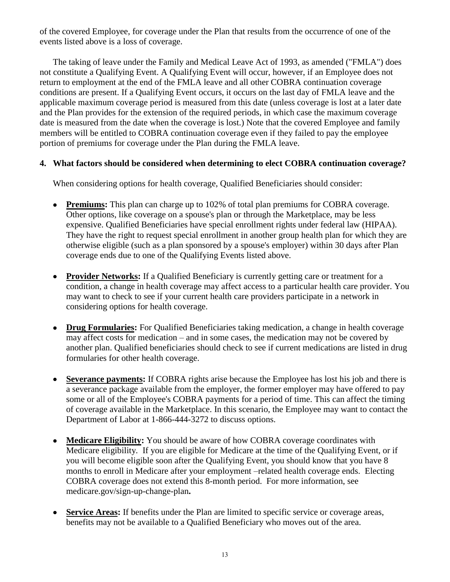of the covered Employee, for coverage under the Plan that results from the occurrence of one of the events listed above is a loss of coverage.

The taking of leave under the Family and Medical Leave Act of 1993, as amended ("FMLA") does not constitute a Qualifying Event. A Qualifying Event will occur, however, if an Employee does not return to employment at the end of the FMLA leave and all other COBRA continuation coverage conditions are present. If a Qualifying Event occurs, it occurs on the last day of FMLA leave and the applicable maximum coverage period is measured from this date (unless coverage is lost at a later date and the Plan provides for the extension of the required periods, in which case the maximum coverage date is measured from the date when the coverage is lost.) Note that the covered Employee and family members will be entitled to COBRA continuation coverage even if they failed to pay the employee portion of premiums for coverage under the Plan during the FMLA leave.

# **4. What factors should be considered when determining to elect COBRA continuation coverage?**

When considering options for health coverage, Qualified Beneficiaries should consider:

- **Premiums:** This plan can charge up to 102% of total plan premiums for COBRA coverage. Other options, like coverage on a spouse's plan or through the Marketplace, may be less expensive. Qualified Beneficiaries have special enrollment rights under federal law (HIPAA). They have the right to request special enrollment in another group health plan for which they are otherwise eligible (such as a plan sponsored by a spouse's employer) within 30 days after Plan coverage ends due to one of the Qualifying Events listed above.
- **Provider Networks:** If a Qualified Beneficiary is currently getting care or treatment for a condition, a change in health coverage may affect access to a particular health care provider. You may want to check to see if your current health care providers participate in a network in considering options for health coverage.
- **Drug Formularies:** For Qualified Beneficiaries taking medication, a change in health coverage may affect costs for medication – and in some cases, the medication may not be covered by another plan. Qualified beneficiaries should check to see if current medications are listed in drug formularies for other health coverage.
- **Severance payments:** If COBRA rights arise because the Employee has lost his job and there is a severance package available from the employer, the former employer may have offered to pay some or all of the Employee's COBRA payments for a period of time. This can affect the timing of coverage available in the Marketplace. In this scenario, the Employee may want to contact the Department of Labor at 1-866-444-3272 to discuss options.
- **Medicare Eligibility:** You should be aware of how COBRA coverage coordinates with Medicare eligibility. If you are eligible for Medicare at the time of the Qualifying Event, or if you will become eligible soon after the Qualifying Event, you should know that you have 8 months to enroll in Medicare after your employment –related health coverage ends. Electing COBRA coverage does not extend this 8-month period. For more information, see medicare.gov/sign-up-change-plan**.**
- **Service Areas:** If benefits under the Plan are limited to specific service or coverage areas, benefits may not be available to a Qualified Beneficiary who moves out of the area.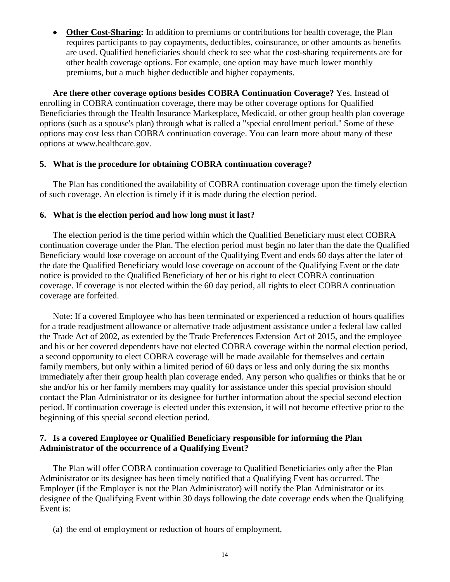**Other Cost-Sharing:** In addition to premiums or contributions for health coverage, the Plan requires participants to pay copayments, deductibles, coinsurance, or other amounts as benefits are used. Qualified beneficiaries should check to see what the cost-sharing requirements are for other health coverage options. For example, one option may have much lower monthly premiums, but a much higher deductible and higher copayments.

**Are there other coverage options besides COBRA Continuation Coverage?** Yes. Instead of enrolling in COBRA continuation coverage, there may be other coverage options for Qualified Beneficiaries through the Health Insurance Marketplace, Medicaid, or other group health plan coverage options (such as a spouse's plan) through what is called a "special enrollment period." Some of these options may cost less than COBRA continuation coverage. You can learn more about many of these options at www.healthcare.gov.

#### **5. What is the procedure for obtaining COBRA continuation coverage?**

The Plan has conditioned the availability of COBRA continuation coverage upon the timely election of such coverage. An election is timely if it is made during the election period.

#### **6. What is the election period and how long must it last?**

The election period is the time period within which the Qualified Beneficiary must elect COBRA continuation coverage under the Plan. The election period must begin no later than the date the Qualified Beneficiary would lose coverage on account of the Qualifying Event and ends 60 days after the later of the date the Qualified Beneficiary would lose coverage on account of the Qualifying Event or the date notice is provided to the Qualified Beneficiary of her or his right to elect COBRA continuation coverage. If coverage is not elected within the 60 day period, all rights to elect COBRA continuation coverage are forfeited.

Note: If a covered Employee who has been terminated or experienced a reduction of hours qualifies for a trade readjustment allowance or alternative trade adjustment assistance under a federal law called the Trade Act of 2002, as extended by the Trade Preferences Extension Act of 2015, and the employee and his or her covered dependents have not elected COBRA coverage within the normal election period, a second opportunity to elect COBRA coverage will be made available for themselves and certain family members, but only within a limited period of 60 days or less and only during the six months immediately after their group health plan coverage ended. Any person who qualifies or thinks that he or she and/or his or her family members may qualify for assistance under this special provision should contact the Plan Administrator or its designee for further information about the special second election period. If continuation coverage is elected under this extension, it will not become effective prior to the beginning of this special second election period.

# **7. Is a covered Employee or Qualified Beneficiary responsible for informing the Plan Administrator of the occurrence of a Qualifying Event?**

The Plan will offer COBRA continuation coverage to Qualified Beneficiaries only after the Plan Administrator or its designee has been timely notified that a Qualifying Event has occurred. The Employer (if the Employer is not the Plan Administrator) will notify the Plan Administrator or its designee of the Qualifying Event within 30 days following the date coverage ends when the Qualifying Event is:

(a) the end of employment or reduction of hours of employment,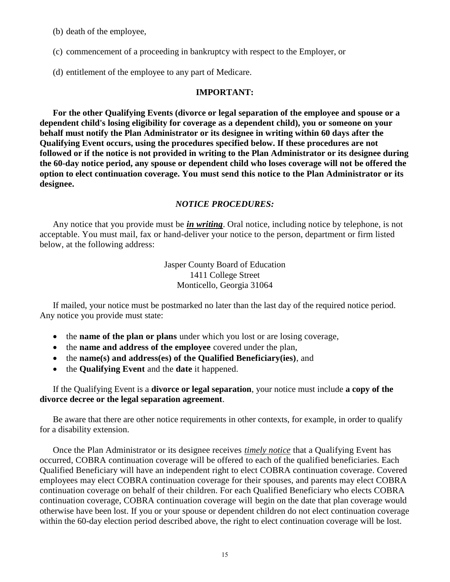(b) death of the employee,

(c) commencement of a proceeding in bankruptcy with respect to the Employer, or

(d) entitlement of the employee to any part of Medicare.

#### **IMPORTANT:**

**For the other Qualifying Events (divorce or legal separation of the employee and spouse or a dependent child's losing eligibility for coverage as a dependent child), you or someone on your behalf must notify the Plan Administrator or its designee in writing within 60 days after the Qualifying Event occurs, using the procedures specified below. If these procedures are not followed or if the notice is not provided in writing to the Plan Administrator or its designee during the 60-day notice period, any spouse or dependent child who loses coverage will not be offered the option to elect continuation coverage. You must send this notice to the Plan Administrator or its designee.**

#### *NOTICE PROCEDURES:*

Any notice that you provide must be *in writing*. Oral notice, including notice by telephone, is not acceptable. You must mail, fax or hand-deliver your notice to the person, department or firm listed below, at the following address:

> Jasper County Board of Education 1411 College Street Monticello, Georgia 31064

If mailed, your notice must be postmarked no later than the last day of the required notice period. Any notice you provide must state:

- the **name of the plan or plans** under which you lost or are losing coverage,
- the **name and address of the employee** covered under the plan,
- the **name(s) and address(es) of the Qualified Beneficiary(ies)**, and
- the **Qualifying Event** and the **date** it happened.

If the Qualifying Event is a **divorce or legal separation**, your notice must include **a copy of the divorce decree or the legal separation agreement**.

Be aware that there are other notice requirements in other contexts, for example, in order to qualify for a disability extension.

Once the Plan Administrator or its designee receives *timely notice* that a Qualifying Event has occurred, COBRA continuation coverage will be offered to each of the qualified beneficiaries. Each Qualified Beneficiary will have an independent right to elect COBRA continuation coverage. Covered employees may elect COBRA continuation coverage for their spouses, and parents may elect COBRA continuation coverage on behalf of their children. For each Qualified Beneficiary who elects COBRA continuation coverage, COBRA continuation coverage will begin on the date that plan coverage would otherwise have been lost. If you or your spouse or dependent children do not elect continuation coverage within the 60-day election period described above, the right to elect continuation coverage will be lost.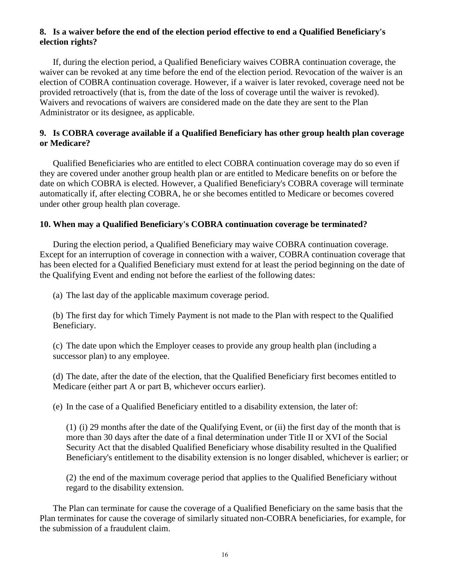# **8. Is a waiver before the end of the election period effective to end a Qualified Beneficiary's election rights?**

If, during the election period, a Qualified Beneficiary waives COBRA continuation coverage, the waiver can be revoked at any time before the end of the election period. Revocation of the waiver is an election of COBRA continuation coverage. However, if a waiver is later revoked, coverage need not be provided retroactively (that is, from the date of the loss of coverage until the waiver is revoked). Waivers and revocations of waivers are considered made on the date they are sent to the Plan Administrator or its designee, as applicable.

# **9. Is COBRA coverage available if a Qualified Beneficiary has other group health plan coverage or Medicare?**

Qualified Beneficiaries who are entitled to elect COBRA continuation coverage may do so even if they are covered under another group health plan or are entitled to Medicare benefits on or before the date on which COBRA is elected. However, a Qualified Beneficiary's COBRA coverage will terminate automatically if, after electing COBRA, he or she becomes entitled to Medicare or becomes covered under other group health plan coverage.

# **10. When may a Qualified Beneficiary's COBRA continuation coverage be terminated?**

During the election period, a Qualified Beneficiary may waive COBRA continuation coverage. Except for an interruption of coverage in connection with a waiver, COBRA continuation coverage that has been elected for a Qualified Beneficiary must extend for at least the period beginning on the date of the Qualifying Event and ending not before the earliest of the following dates:

(a) The last day of the applicable maximum coverage period.

(b) The first day for which Timely Payment is not made to the Plan with respect to the Qualified Beneficiary.

(c) The date upon which the Employer ceases to provide any group health plan (including a successor plan) to any employee.

(d) The date, after the date of the election, that the Qualified Beneficiary first becomes entitled to Medicare (either part A or part B, whichever occurs earlier).

(e) In the case of a Qualified Beneficiary entitled to a disability extension, the later of:

(1) (i) 29 months after the date of the Qualifying Event, or (ii) the first day of the month that is more than 30 days after the date of a final determination under Title II or XVI of the Social Security Act that the disabled Qualified Beneficiary whose disability resulted in the Qualified Beneficiary's entitlement to the disability extension is no longer disabled, whichever is earlier; or

(2) the end of the maximum coverage period that applies to the Qualified Beneficiary without regard to the disability extension.

The Plan can terminate for cause the coverage of a Qualified Beneficiary on the same basis that the Plan terminates for cause the coverage of similarly situated non-COBRA beneficiaries, for example, for the submission of a fraudulent claim.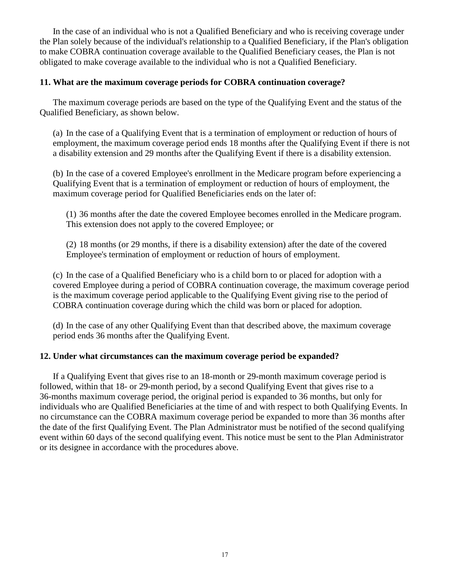In the case of an individual who is not a Qualified Beneficiary and who is receiving coverage under the Plan solely because of the individual's relationship to a Qualified Beneficiary, if the Plan's obligation to make COBRA continuation coverage available to the Qualified Beneficiary ceases, the Plan is not obligated to make coverage available to the individual who is not a Qualified Beneficiary.

# **11. What are the maximum coverage periods for COBRA continuation coverage?**

The maximum coverage periods are based on the type of the Qualifying Event and the status of the Qualified Beneficiary, as shown below.

(a) In the case of a Qualifying Event that is a termination of employment or reduction of hours of employment, the maximum coverage period ends 18 months after the Qualifying Event if there is not a disability extension and 29 months after the Qualifying Event if there is a disability extension.

(b) In the case of a covered Employee's enrollment in the Medicare program before experiencing a Qualifying Event that is a termination of employment or reduction of hours of employment, the maximum coverage period for Qualified Beneficiaries ends on the later of:

(1) 36 months after the date the covered Employee becomes enrolled in the Medicare program. This extension does not apply to the covered Employee; or

(2) 18 months (or 29 months, if there is a disability extension) after the date of the covered Employee's termination of employment or reduction of hours of employment.

(c) In the case of a Qualified Beneficiary who is a child born to or placed for adoption with a covered Employee during a period of COBRA continuation coverage, the maximum coverage period is the maximum coverage period applicable to the Qualifying Event giving rise to the period of COBRA continuation coverage during which the child was born or placed for adoption.

(d) In the case of any other Qualifying Event than that described above, the maximum coverage period ends 36 months after the Qualifying Event.

### **12. Under what circumstances can the maximum coverage period be expanded?**

If a Qualifying Event that gives rise to an 18-month or 29-month maximum coverage period is followed, within that 18- or 29-month period, by a second Qualifying Event that gives rise to a 36-months maximum coverage period, the original period is expanded to 36 months, but only for individuals who are Qualified Beneficiaries at the time of and with respect to both Qualifying Events. In no circumstance can the COBRA maximum coverage period be expanded to more than 36 months after the date of the first Qualifying Event. The Plan Administrator must be notified of the second qualifying event within 60 days of the second qualifying event. This notice must be sent to the Plan Administrator or its designee in accordance with the procedures above.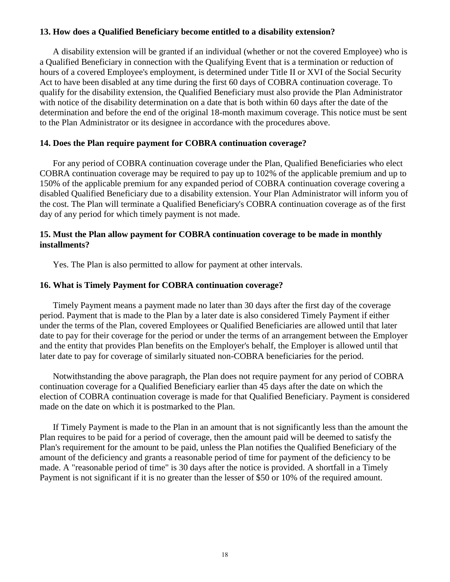# **13. How does a Qualified Beneficiary become entitled to a disability extension?**

A disability extension will be granted if an individual (whether or not the covered Employee) who is a Qualified Beneficiary in connection with the Qualifying Event that is a termination or reduction of hours of a covered Employee's employment, is determined under Title II or XVI of the Social Security Act to have been disabled at any time during the first 60 days of COBRA continuation coverage. To qualify for the disability extension, the Qualified Beneficiary must also provide the Plan Administrator with notice of the disability determination on a date that is both within 60 days after the date of the determination and before the end of the original 18-month maximum coverage. This notice must be sent to the Plan Administrator or its designee in accordance with the procedures above.

# **14. Does the Plan require payment for COBRA continuation coverage?**

For any period of COBRA continuation coverage under the Plan, Qualified Beneficiaries who elect COBRA continuation coverage may be required to pay up to 102% of the applicable premium and up to 150% of the applicable premium for any expanded period of COBRA continuation coverage covering a disabled Qualified Beneficiary due to a disability extension. Your Plan Administrator will inform you of the cost. The Plan will terminate a Qualified Beneficiary's COBRA continuation coverage as of the first day of any period for which timely payment is not made.

### **15. Must the Plan allow payment for COBRA continuation coverage to be made in monthly installments?**

Yes. The Plan is also permitted to allow for payment at other intervals.

### **16. What is Timely Payment for COBRA continuation coverage?**

Timely Payment means a payment made no later than 30 days after the first day of the coverage period. Payment that is made to the Plan by a later date is also considered Timely Payment if either under the terms of the Plan, covered Employees or Qualified Beneficiaries are allowed until that later date to pay for their coverage for the period or under the terms of an arrangement between the Employer and the entity that provides Plan benefits on the Employer's behalf, the Employer is allowed until that later date to pay for coverage of similarly situated non-COBRA beneficiaries for the period.

Notwithstanding the above paragraph, the Plan does not require payment for any period of COBRA continuation coverage for a Qualified Beneficiary earlier than 45 days after the date on which the election of COBRA continuation coverage is made for that Qualified Beneficiary. Payment is considered made on the date on which it is postmarked to the Plan.

If Timely Payment is made to the Plan in an amount that is not significantly less than the amount the Plan requires to be paid for a period of coverage, then the amount paid will be deemed to satisfy the Plan's requirement for the amount to be paid, unless the Plan notifies the Qualified Beneficiary of the amount of the deficiency and grants a reasonable period of time for payment of the deficiency to be made. A "reasonable period of time" is 30 days after the notice is provided. A shortfall in a Timely Payment is not significant if it is no greater than the lesser of \$50 or 10% of the required amount.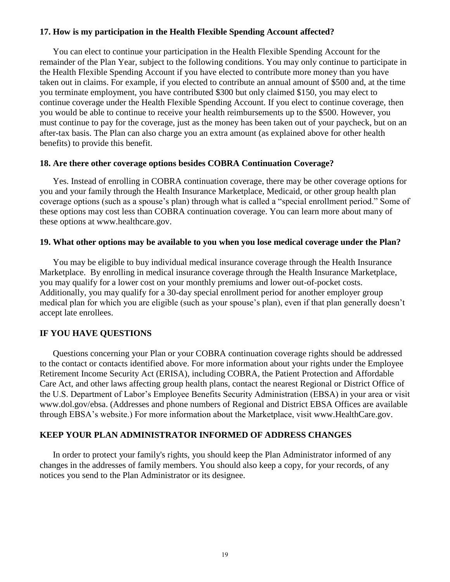# **17. How is my participation in the Health Flexible Spending Account affected?**

You can elect to continue your participation in the Health Flexible Spending Account for the remainder of the Plan Year, subject to the following conditions. You may only continue to participate in the Health Flexible Spending Account if you have elected to contribute more money than you have taken out in claims. For example, if you elected to contribute an annual amount of \$500 and, at the time you terminate employment, you have contributed \$300 but only claimed \$150, you may elect to continue coverage under the Health Flexible Spending Account. If you elect to continue coverage, then you would be able to continue to receive your health reimbursements up to the \$500. However, you must continue to pay for the coverage, just as the money has been taken out of your paycheck, but on an after-tax basis. The Plan can also charge you an extra amount (as explained above for other health benefits) to provide this benefit.

### **18. Are there other coverage options besides COBRA Continuation Coverage?**

Yes. Instead of enrolling in COBRA continuation coverage, there may be other coverage options for you and your family through the Health Insurance Marketplace, Medicaid, or other group health plan coverage options (such as a spouse's plan) through what is called a "special enrollment period." Some of these options may cost less than COBRA continuation coverage. You can learn more about many of these options at [www.healthcare.gov.](http://www.healthcare.gov/)

### **19. What other options may be available to you when you lose medical coverage under the Plan?**

You may be eligible to buy individual medical insurance coverage through the Health Insurance Marketplace. By enrolling in medical insurance coverage through the Health Insurance Marketplace, you may qualify for a lower cost on your monthly premiums and lower out-of-pocket costs. Additionally, you may qualify for a 30-day special enrollment period for another employer group medical plan for which you are eligible (such as your spouse's plan), even if that plan generally doesn't accept late enrollees.

# **IF YOU HAVE QUESTIONS**

Questions concerning your Plan or your COBRA continuation coverage rights should be addressed to the contact or contacts identified above. For more information about your rights under the Employee Retirement Income Security Act (ERISA), including COBRA, the Patient Protection and Affordable Care Act, and other laws affecting group health plans, contact the nearest Regional or District Office of the U.S. Department of Labor's Employee Benefits Security Administration (EBSA) in your area or visit [www.dol.gov/ebsa.](http://www.dol.gov/ebsa) (Addresses and phone numbers of Regional and District EBSA Offices are available through EBSA's website.) For more information about the Marketplace, visit [www.HealthCare.gov.](http://www.healthcare.gov/)

# **KEEP YOUR PLAN ADMINISTRATOR INFORMED OF ADDRESS CHANGES**

In order to protect your family's rights, you should keep the Plan Administrator informed of any changes in the addresses of family members. You should also keep a copy, for your records, of any notices you send to the Plan Administrator or its designee.